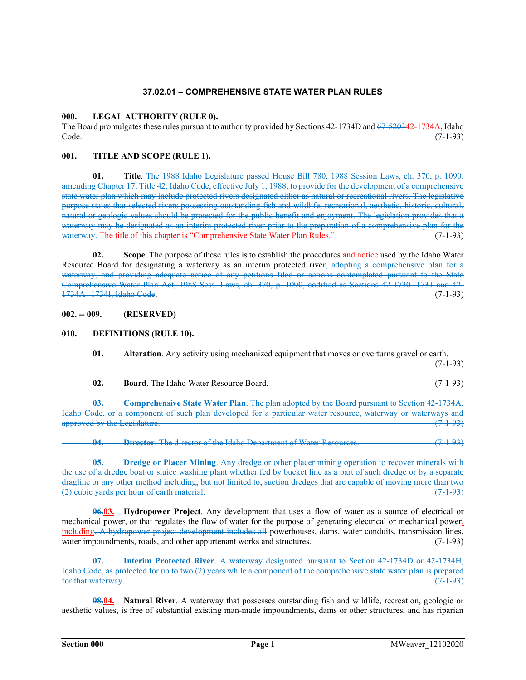# 37.02.01 – COMPREHENSIVE STATE WATER PLAN RULES

## 000. LEGAL AUTHORITY (RULE 0).

The Board promulgates these rules pursuant to authority provided by Sections 42-1734D and 67-520342-1734A, Idaho  $\text{Code.} \tag{7-1-93}$ 

## 001. TITLE AND SCOPE (RULE 1).

01. Title. The 1988 Idaho Legislature passed House Bill 780, 1988 Session Laws, ch. 370, p. 1090, amending Chapter 17, Title 42, Idaho Code, effective July 1, 1988, to provide for the development of a comprehensive state water plan which may include protected rivers designated either as natural or recreational rivers. The legislative purpose states that selected rivers possessing outstanding fish and wildlife, recreational, aesthetic, historic, cultural, natural or geologic values should be protected for the public benefit and enjoyment. The legislation provides that a waterway may be designated as an interim protected river prior to the preparation of a comprehensive plan for the waterway. The title of this chapter is "Comprehensive State Water Plan Rules." (7-1-93)

02. Scope. The purpose of these rules is to establish the procedures and notice used by the Idaho Water Resource Board for designating a waterway as an interim protected river, adopting a comprehensive plan for a waterway, and providing adequate notice of any petitions filed or actions contemplated pursuant to the State Comprehensive Water Plan Act, 1988 Sess. Laws, ch. 370, p. 1090, codified as Sections 42-1730--1731 and 42-1734A--1734I, Idaho Code. (7-1-93)

002. -- 009. (RESERVED)

## 010. DEFINITIONS (RULE 10).

- 01. Alteration. Any activity using mechanized equipment that moves or overturns gravel or earth.  $(7-1-93)$ 
	- 02. Board. The Idaho Water Resource Board. (7-1-93)

Comprehensive State Water Plan. The plan adopted by the Board pursuant to Section 42-1734A, Idaho Code, or a component of such plan developed for a particular water resource, waterway or waterways and approved by the Legislature. (2002) approved by the Legislature.

04. Director. The director of the Idaho Department of Water Resources. (7493)

05. Dredge or Placer Mining. Any dredge or other placer mining operation to recover minerals with the use of a dredge boat or sluice washing plant whether fed by bucket line as a part of such dredge or by a separate dragline or any other method including, but not limited to, suction dredges that are capable of moving more than two<br>(2) cubic vards per hour of earth material. (7) (2) cubic yards per hour of earth material.

**06.03.** Hydropower Project. Any development that uses a flow of water as a source of electrical or mechanical power, or that regulates the flow of water for the purpose of generating electrical or mechanical power, including. A hydropower project development includes all powerhouses, dams, water conduits, transmission lines, water impoundments, roads, and other appurtenant works and structures. (7-1-93)

Interim Protected River. A waterway designated pursuant to Section 42-1734D or 42-1734H, Idaho Code, as protected for up to two (2) years while a component of the comprehensive state water plan is prepared for that waterway.  $(7\ 1\ 93)$ 

**08.04.** Natural River. A waterway that possesses outstanding fish and wildlife, recreation, geologic or aesthetic values, is free of substantial existing man-made impoundments, dams or other structures, and has riparian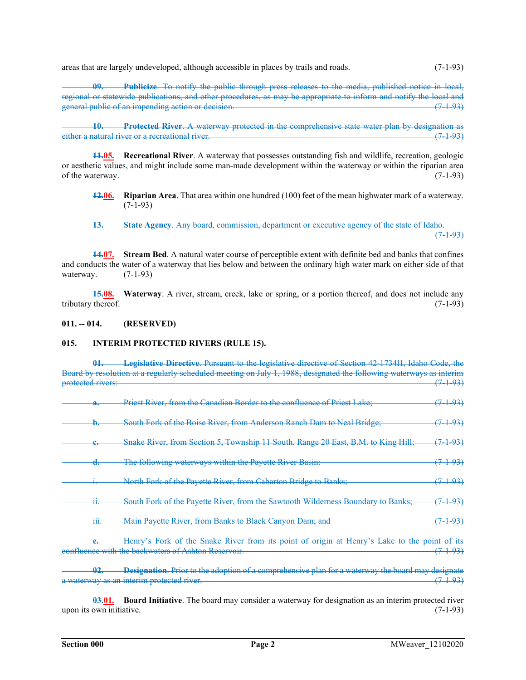areas that are largely undeveloped, although accessible in places by trails and roads. (7-1-93)

Publicize. To notify the public through press releases to the media, published notice in local, regional or statewide publications, and other procedures, as may be appropriate to inform and notify the local and general public of an impending action or decision. (7-1-93)

10. Protected River. A waterway protected in the comprehensive state water plan by designation as natural river or a recreational river. either a natural river or a recreational river.

11.05. Recreational River. A waterway that possesses outstanding fish and wildlife, recreation, geologic or aesthetic values, and might include some man-made development within the waterway or within the riparian area of the waterway.  $(7-1-93)$ 

12.06. Riparian Area. That area within one hundred (100) feet of the mean highwater mark of a waterway.  $(7-1-93)$ 

13. State Agency. Any board, commission, department or executive agency of the state of Idaho.  $(7\ 1\ 93)$ 

14.07. Stream Bed. A natural water course of perceptible extent with definite bed and banks that confines and conducts the water of a waterway that lies below and between the ordinary high water mark on either side of that waterway.  $(7-1-93)$ 

**15.08.** Waterway. A river, stream, creek, lake or spring, or a portion thereof, and does not include any tributary thereof. (7-1-93)

#### 011. -- 014. (RESERVED)

#### 015. INTERIM PROTECTED RIVERS (RULE 15).

01. Legislative Directive. Pursuant to the legislative directive of Section 42-1734H, Idaho Code, the Board by resolution at a regularly scheduled meeting on July 1, 1988, designated the following waterways as interim protected rivers: (7-1-93)

| a.                          | <u>Priest River, from the Canadian Border to the confluence of Priest Lake;</u>                                                                     | <del>-1-93)</del>  |
|-----------------------------|-----------------------------------------------------------------------------------------------------------------------------------------------------|--------------------|
| Đ.                          | South Fork of the Boise River, from Anderson Ranch Dam to Neal Bridge;                                                                              | <del>(7493)</del>  |
| —                           | Snake River, from Section 5, Township 11 South, Range 20 East, B.M. to King Hill;                                                                   | <del>(7493)</del>  |
| <del>d.</del>               | The following waterways within the Payette River Basin:                                                                                             | <del>7-1-93)</del> |
|                             | North Fork of the Payette River, from Cabarton Bridge to Banks;                                                                                     | <del>193)</del>    |
| ₩.                          | South Fork of the Payette River, from the Sawtooth Wilderness Boundary to Banks;                                                                    | <del>7193)</del>   |
| ĦŦ.                         | Main Payette River, from Banks to Black Canyon Dam; and                                                                                             | <del>-1-93)</del>  |
|                             | Henry's Fork of the Snake River from its point of origin at Henry's Lake to the point of its<br>confluence with the backwaters of Ashton Reservoir. | <del>193)</del>    |
| በን<br>$\sigma$ and $\sigma$ | Designation. Prior to the adoption of a comprehensive plan for a waterway the board may designate<br>a waterway as an interim protected river.      | <del>7-1-93)</del> |

03.01. Board Initiative. The board may consider a waterway for designation as an interim protected river upon its own initiative.  $(7-1-93)$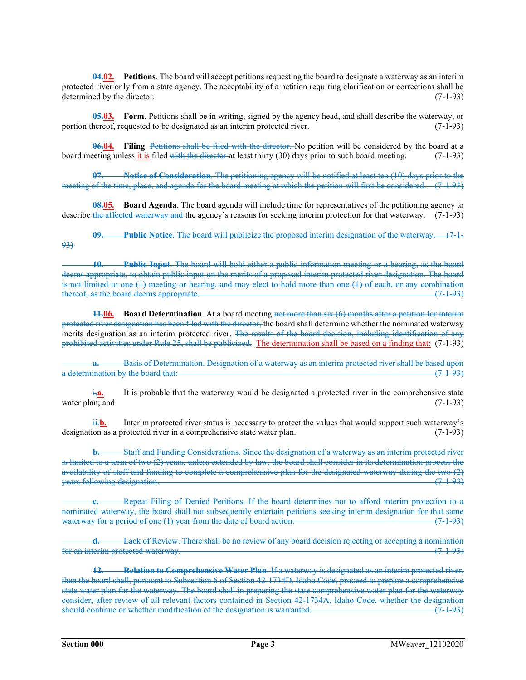$04.02$ . Petitions. The board will accept petitions requesting the board to designate a waterway as an interim protected river only from a state agency. The acceptability of a petition requiring clarification or corrections shall be determined by the director. (7-1-93)

**05.03.** Form. Petitions shall be in writing, signed by the agency head, and shall describe the waterway, or portion thereof, requested to be designated as an interim protected river. (7-1-93)

06.04. Filing. Petitions shall be filed with the director. No petition will be considered by the board at a board meeting unless it is filed with the director at least thirty (30) days prior to such board meeting. (7-1-93)

07. Notice of Consideration. The petitioning agency will be notified at least ten (10) days prior to the meeting of the time, place, and agenda for the board meeting at which the petition will first be considered. (7-1-93)

**08.05. Board Agenda**. The board agenda will include time for representatives of the petitioning agency to describe the affected waterway and the agency's reasons for seeking interim protection for that waterway. (7-1-93)

**Public Notice.** The board will publicize the proposed interim designation of the waterway. (7.1-93)

10. Public Input. The board will hold either a public information meeting or a hearing, as the board deems appropriate, to obtain public input on the merits of a proposed interim protected river designation. The board is not limited to one (1) meeting or hearing, and may elect to hold more than one (1) of each, or any combination thereof, as the board deems appropriate. (7.1.93)

**11.06.** Board Determination. At a board meeting not more than  $s$ ix  $(6)$  months after a petition for interim protected river designation has been filed with the director, the board shall determine whether the nominated waterway merits designation as an interim protected river. The results of the board decision, including identification of any prohibited activities under Rule 25, shall be publicized. The determination shall be based on a finding that: (7-1-93)

Basis of Determination. Designation of a waterway as an interim protected river shall be based upon a determination by the board that: (7-1-93)

 $\frac{1}{2}a$ . It is probable that the waterway would be designated a protected river in the comprehensive state water plan; and  $(7-1-93)$ 

 $\frac{\mathbf{ii} \cdot \mathbf{b}}{\mathbf{b}}$ . Interim protected river status is necessary to protect the values that would support such waterway's designation as a protected river in a comprehensive state water plan. (7-1-93)

b. Staff and Funding Considerations. Since the designation of a waterway as an interim protected river is limited to a term of two (2) years, unless extended by law, the board shall consider in its determination process the availability of staff and funding to complete a comprehensive plan for the designated waterway during the two (2) years following designation.

Repeat Filing of Denied Petitions. If the board determines not to afford interim protection to a nominated waterway, the board shall not subsequently entertain petitions seeking interim designation for that same waterway for a period of one (1) year from the date of board action. (7-1-93)

Lack of Review. There shall be no review of any board decision rejecting or accepting a nomination for an interim protected waterway. (7-1-93)

12. Relation to Comprehensive Water Plan. If a waterway is designated as an interim protected river, then the board shall, pursuant to Subsection 6 of Section 42-1734D, Idaho Code, proceed to prepare a comprehensive state water plan for the waterway. The board shall in preparing the state comprehensive water plan for the waterway consider, after review of all relevant factors contained in Section 42-1734A, Idaho Code, whether the designation should continue or whether modification of the designation is warranted. (7.1.93)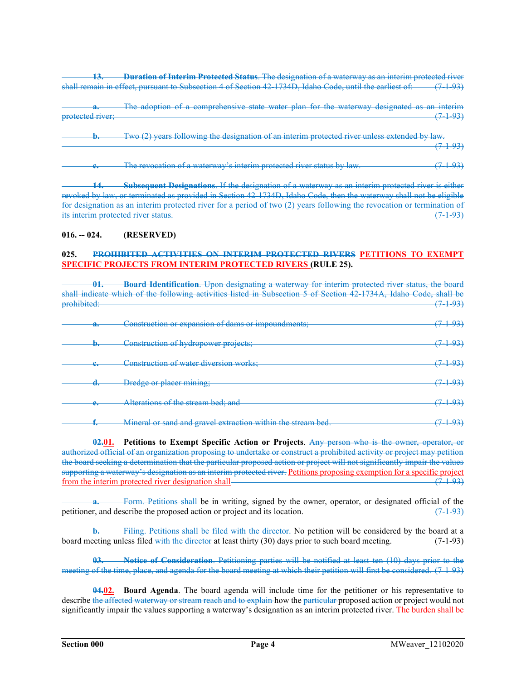13. Duration of Interim Protected Status. The designation of a waterway as an interim protected river shall remain in effect, pursuant to Subsection 4 of Section 42-1734D, Idaho Code, until the earliest of: (7-1-93)

The adoption of a comprehensive state water plan for the waterway designated as an interim protected river; (7-1-93)

Two (2) years following the designation of an interim protected river unless extended by law.  $(7\ 1\ 93)$ 

The revocation of a waterway's interim protected river status by law. (7-1-93)

14. Subsequent Designations. If the designation of a waterway as an interim protected river is either revoked by law, or terminated as provided in Section 42-1734D, Idaho Code, then the waterway shall not be eligible for designation as an interim protected river for a period of two (2) years following the revocation or termination of its interim protected river status. (7-1-93)

## 016. -- 024. (RESERVED)

#### 025. PROHIBITED ACTIVITIES ON INTERIM PROTECTED RIVERS PETITIONS TO EXEMPT SPECIFIC PROJECTS FROM INTERIM PROTECTED RIVERS (RULE 25).

| Λ1<br>v.                 | Board Identification. Upon designating a waterway for interim protected river status, the board<br>shall indicate which of the following activities listed in Subsection 5 of Section 42 1734A, Idaho Code, shall be |              |
|--------------------------|----------------------------------------------------------------------------------------------------------------------------------------------------------------------------------------------------------------------|--------------|
| prohibited:              |                                                                                                                                                                                                                      | <u> 1931</u> |
| u.                       | Construction or expansion of dams or impoundments;                                                                                                                                                                   |              |
| ₩.                       | Construction of hydropower projects;                                                                                                                                                                                 |              |
| $\overline{\phantom{a}}$ | Construction of water diversion works;                                                                                                                                                                               |              |
| <del>u.</del>            | Dredge or placer mining;                                                                                                                                                                                             |              |
| ॎ                        | Alterations of the stream bed: and                                                                                                                                                                                   |              |
| I.                       | Mineral or sand and gravel extraction within the stream bed.                                                                                                                                                         |              |

02.01. Petitions to Exempt Specific Action or Projects. Any person who is the owner, operator, or authorized official of an organization proposing to undertake or construct a prohibited activity or project may petition the board seeking a determination that the particular proposed action or project will not significantly impair the values supporting a waterway's designation as an interim protected river. Petitions proposing exemption for a specific project from the interim protected river designation shall (7-1-93)

Form. Petitions shall be in writing, signed by the owner, operator, or designated official of the petitioner, and describe the proposed action or project and its location.  $\frac{(-1.93)}{(-1.93)}$ 

Filing. Petitions shall be filed with the director. No petition will be considered by the board at a board meeting unless filed with the director at least thirty (30) days prior to such board meeting. (7-1-93)

Notice of Consideration. Petitioning parties will be notified at least ten (10) days prior to the meeting of the time, place, and agenda for the board meeting at which their petition will first be considered. (7-1-93)

04.02. Board Agenda. The board agenda will include time for the petitioner or his representative to describe the affected waterway or stream reach and to explain how the particular proposed action or project would not significantly impair the values supporting a waterway's designation as an interim protected river. The burden shall be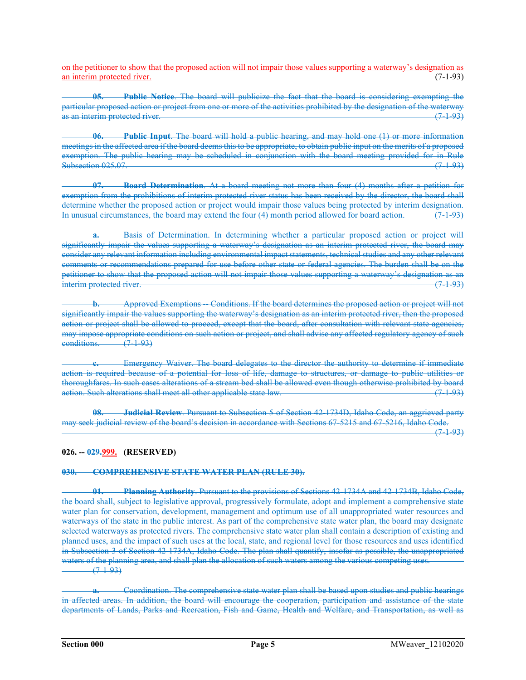on the petitioner to show that the proposed action will not impair those values supporting a waterway's designation as an interim protected river. (7-1-93)

Public Notice. The board will publicize the fact that the board is considering exempting the particular proposed action or project from one or more of the activities prohibited by the designation of the waterway as an interim protected river. (7.1.93)

06. Public Input. The board will hold a public hearing, and may hold one (1) or more information meetings in the affected area if the board deems this to be appropriate, to obtain public input on the merits of a proposed exemption. The public hearing may be scheduled in conjunction with the board meeting provided for in Rule Subsection 025.07. (7-1-93)

07. Board Determination. At a board meeting not more than four (4) months after a petition for exemption from the prohibitions of interim protected river status has been received by the director, the board shall determine whether the proposed action or project would impair those values being protected by interim designation. In unusual circumstances, the board may extend the four (4) month period allowed for board action. (7-1-93)

Basis of Determination. In determining whether a particular proposed action or project will significantly impair the values supporting a waterway's designation as an interim protected river, the board may consider any relevant information including environmental impact statements, technical studies and any other relevant comments or recommendations prepared for use before other state or federal agencies. The burden shall be on the petitioner to show that the proposed action will not impair those values supporting a waterway's designation as an interim protected river. (7-1-93)

Approved Exemptions -- Conditions. If the board determines the proposed action or project will not significantly impair the values supporting the waterway's designation as an interim protected river, then the proposed action or project shall be allowed to proceed, except that the board, after consultation with relevant state agencies, may impose appropriate conditions on such action or project, and shall advise any affected regulatory agency of such conditions. (7-1-93)

Emergency Waiver. The board delegates to the director the authority to determine if immediate action is required because of a potential for loss of life, damage to structures, or damage to public utilities or thoroughfares. In such cases alterations of a stream bed shall be allowed even though otherwise prohibited by board action. Such alterations shall meet all other applicable state law. (7-1-93)

08. Judicial Review. Pursuant to Subsection 5 of Section 42-1734D, Idaho Code, an aggrieved party may seek judicial review of the board's decision in accordance with Sections 67-5215 and 67-5216, Idaho Code.

 $(7\ 1\ 93)$ 

# 026. -- 029.999. (RESERVED)

## 030. COMPREHENSIVE STATE WATER PLAN (RULE 30).

01. Planning Authority. Pursuant to the provisions of Sections 42-1734A and 42-1734B, Idaho Code, the board shall, subject to legislative approval, progressively formulate, adopt and implement a comprehensive state water plan for conservation, development, management and optimum use of all unappropriated water resources and waterways of the state in the public interest. As part of the comprehensive state water plan, the board may designate selected waterways as protected rivers. The comprehensive state water plan shall contain a description of existing and planned uses, and the impact of such uses at the local, state, and regional level for those resources and uses identified in Subsection 3 of Section 42-1734A, Idaho Code. The plan shall quantify, insofar as possible, the unappropriated waters of the planning area, and shall plan the allocation of such waters among the various competing uses.  $(7 + 93)$ 

Coordination. The comprehensive state water plan shall be based upon studies and public hearings in affected areas. In addition, the board will encourage the cooperation, participation and assistance of the state departments of Lands, Parks and Recreation, Fish and Game, Health and Welfare, and Transportation, as well as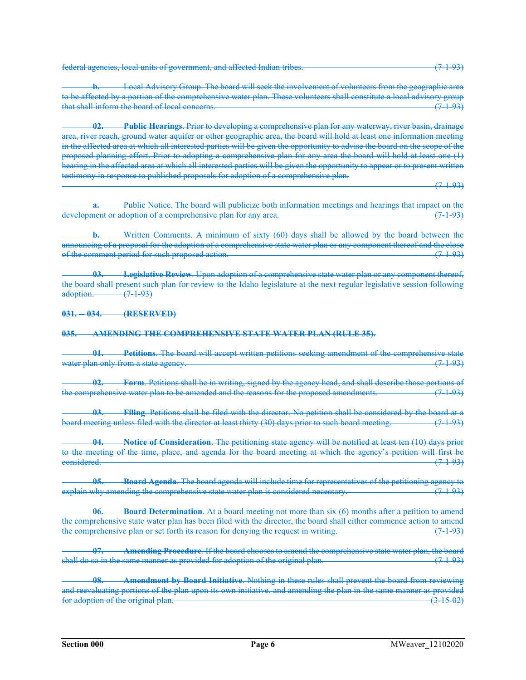federal agencies, local units of government, and affected Indian tribes. (7-1-93)

**b.** Local Advisory Group. The board will seek the involvement of volunteers from the geographic area to be affected by a portion of the comprehensive water plan. These volunteers shall constitute a local advisory group that shall inform the board of local concerns.

**Public Hearings.** Prior to developing a comprehensive plan for any waterway, river basin, drainage area, river reach, ground water aquifer or other geographic area, the board will hold at least one information meeting in the affected area at which all interested parties will be given the opportunity to advise the board on the scope of the proposed planning effort. Prior to adopting a comprehensive plan for any area the board will hold at least one (1) hearing in the affected area at which all interested parties will be given the opportunity to appear or to present written testimony in response to published proposals for adoption of a comprehensive plan.

 $(7\ 1\ 93)$ 

Public Notice. The board will publicize both information meetings and hearings that impact on the development or adoption of a comprehensive plan for any area. (7-1-93)

b. Written Comments. A minimum of sixty (60) days shall be allowed by the board between the announcing of a proposal for the adoption of a comprehensive state water plan or any component thereof and the close of the comment period for such proposed action. (7-1-93)

Legislative Review. Upon adoption of a comprehensive state water plan or any component thereof, the board shall present such plan for review to the Idaho legislature at the next regular legislative session following adoption. (7-1-93)

031. 034. (RESERVED)

#### 035. AMENDING THE COMPREHENSIVE STATE WATER PLAN (RULE 35).

01. Petitions. The board will accept written petitions seeking amendment of the comprehensive state water plan only from a state agency. The second control of the state of the state  $(7\ 1\ 93)$ 

**Form.** Petitions shall be in writing, signed by the agency head, and shall describe those portions of the comprehensive water plan to be amended and the reasons for the proposed amendments.

03. Filing. Petitions shall be filed with the director. No petition shall be considered by the board at a board meeting unless filed with the director at least thirty (30) days prior to such board meeting. (7-1-93)

Notice of Consideration. The petitioning state agency will be notified at least ten (10) days prior to the meeting of the time, place, and agenda for the board meeting at which the agency's petition will first be considered. (7-1-93)

Board Agenda. The board agenda will include time for representatives of the petitioning agency to<br>ading the comprehensive state water plan is considered necessary. (7 193) explain why amending the comprehensive state water plan is considered necessary.

06. Board Determination. At a board meeting not more than six (6) months after a petition to amend the comprehensive state water plan has been filed with the director, the board shall either commence action to amend the comprehensive plan or set forth its reason for denying the request in writing. (7-1-93)

Amending Procedure. If the board chooses to amend the comprehensive state water plan, the board shall do so in the same manner as provided for adoption of the original plan. (7-1-93)

Amendment by Board Initiative. Nothing in these rules shall prevent the board from reviewing and reevaluating portions of the plan upon its own initiative, and amending the plan in the same manner as provided<br>for adoption of the original plan. (3.15.02) for adoption of the original plan.